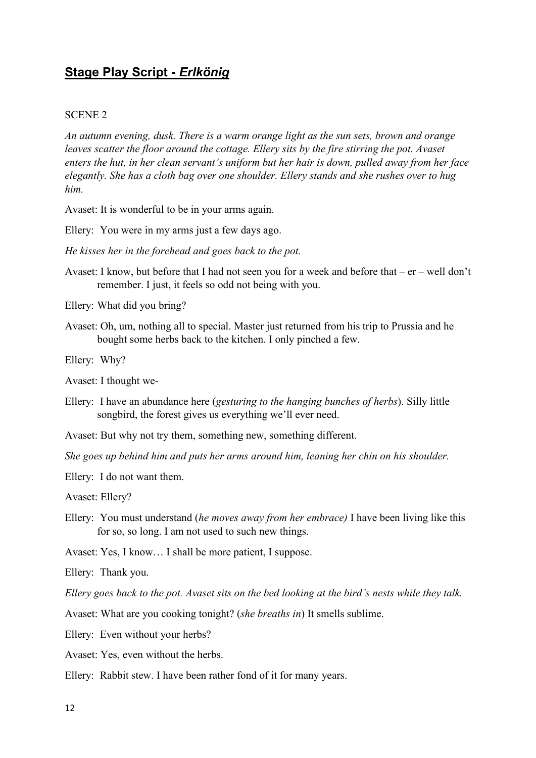## **Stage Play Script -** *Erlkönig*

## SCENE 2

*An autumn evening, dusk. There is a warm orange light as the sun sets,brown and orange leaves scatter the floor around the cottage. Ellery sits by the fire stirring the pot. Avaset enters the hut, in her clean servant's uniform but her hair is down,pulled away from her face elegantly. She has a cloth bag over one shoulder. Ellery stands and she rushes over to hug him.*

Avaset: It is wonderful to be in your arms again.

Ellery: You were in my arms just a few days ago.

*He kisses her in the forehead and goes back to the pot.*

Avaset: I know, but before that I had not seen you for a week and before that –  $er$  – well don't remember. I just, it feels so odd not being with you.

Ellery: What did you bring?

Avaset: Oh, um, nothing all to special. Master just returned from his trip to Prussia and he bought some herbs back to the kitchen. I only pinched a few.

Ellery: Why?

- Avaset: I thought we-
- Ellery: I have an abundance here (*gesturing to the hanging bunches of herbs*). Silly little songbird, the forest gives us everything we'll ever need.
- Avaset: But why not try them, something new, something different.

*She goes up behind him and puts her arms around him, leaning her chin on his shoulder.*

Ellery: I do not want them.

Avaset: Ellery?

Ellery: You must understand (*he moves away from her embrace)* I have been living like this for so, so long. I am not used to such new things.

Avaset: Yes, I know… I shall be more patient, I suppose.

Ellery: Thank you.

Ellery goes back to the pot. Avaset sits on the bed looking at the bird's nests while they talk.

Avaset: What are you cooking tonight? (*she breaths in*) It smells sublime.

Ellery: Even without your herbs?

Avaset: Yes, even without the herbs.

Ellery: Rabbit stew. I have been rather fond of it for many years.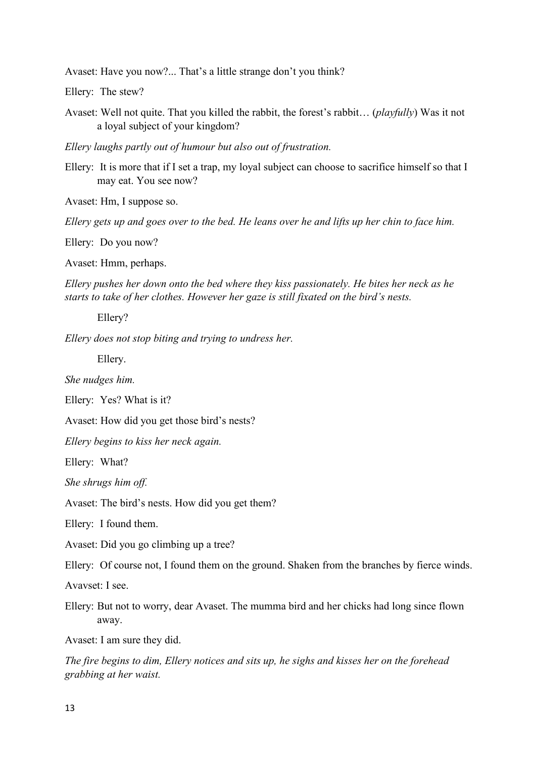Avaset: Have you now?... That's a little strange don't you think?

Ellery: The stew?

Avaset: Well not quite. That you killed the rabbit, the forest's rabbit… (*playfully*) Was it not a loyal subject of your kingdom?

*Ellery laughs partly out of humour but also out of frustration.*

Ellery: It is more that if I set a trap, my loyal subject can choose to sacrifice himself so that I may eat. You see now?

Avaset: Hm, I suppose so.

Ellery gets up and goes over to the bed. He leans over he and lifts up her chin to face him.

Ellery: Do you now?

Avaset: Hmm, perhaps.

*Ellery pushes her down onto the bed where they kiss passionately. He bites her neck as he starts to take of her clothes. However her gaze is still fixated on the bird's nests.*

Ellery?

*Ellery does not stop biting and trying to undress her.*

Ellery.

*She nudges him.*

Ellery: Yes? What is it?

Avaset: How did you get those bird's nests?

*Ellery begins to kiss her neck again.*

Ellery: What?

*She shrugs him off.* 

Avaset: The bird's nests. How did you get them?

Ellery: I found them.

Avaset: Did you go climbing up a tree?

Ellery: Of course not, I found them on the ground. Shaken from the branches by fierce winds.

Avavset: I see.

Ellery: But not to worry, dear Avaset. The mumma bird and herchicks had long since flown away.

Avaset: I am sure they did.

*The fire begins to dim, Ellery notices and sits up, he sighs and kisses her on the forehead grabbing at her waist.*